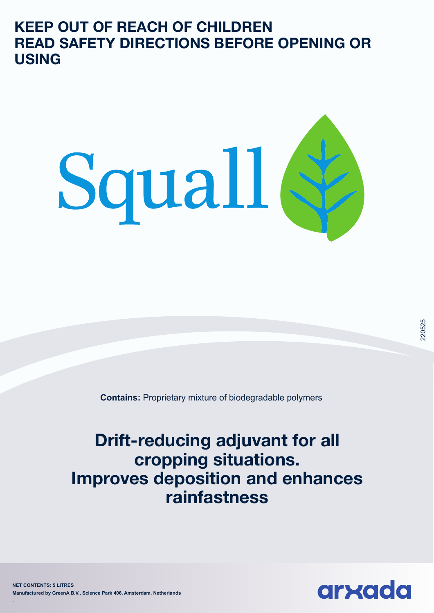**KEEP OUT OF REACH OF CHILDREN READ SAFETY DIRECTIONS BEFORE OPENING OR USING** 



**Contains:** Proprietary mixture of biodegradable polymers

**Drift-reducing adjuvant for all cropping situations. Improves deposition and enhances rainfastness**

220525

**NET CONTENTS: 5 LITRES Manufactured by GreenA B.V., Science Park 406, Amsterdam, Netherlands**

.